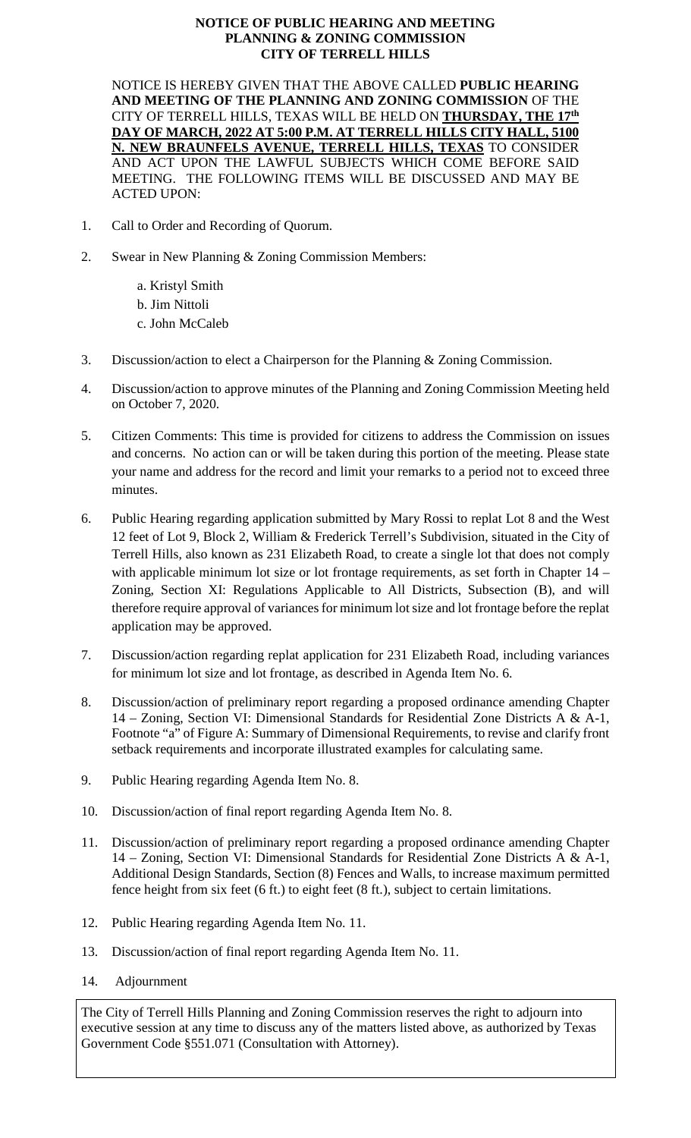## **NOTICE OF PUBLIC HEARING AND MEETING PLANNING & ZONING COMMISSION CITY OF TERRELL HILLS**

NOTICE IS HEREBY GIVEN THAT THE ABOVE CALLED **PUBLIC HEARING AND MEETING OF THE PLANNING AND ZONING COMMISSION** OF THE CITY OF TERRELL HILLS, TEXAS WILL BE HELD ON **THURSDAY, THE 17th DAY OF MARCH, 2022 AT 5:00 P.M. AT TERRELL HILLS CITY HALL, 5100 N. NEW BRAUNFELS AVENUE, TERRELL HILLS, TEXAS** TO CONSIDER AND ACT UPON THE LAWFUL SUBJECTS WHICH COME BEFORE SAID MEETING. THE FOLLOWING ITEMS WILL BE DISCUSSED AND MAY BE ACTED UPON:

- 1. Call to Order and Recording of Quorum.
- 2. Swear in New Planning & Zoning Commission Members:

a. Kristyl Smith b. Jim Nittoli c. John McCaleb

- 3. Discussion/action to elect a Chairperson for the Planning & Zoning Commission.
- 4. Discussion/action to approve minutes of the Planning and Zoning Commission Meeting held on October 7, 2020.
- 5. Citizen Comments: This time is provided for citizens to address the Commission on issues and concerns. No action can or will be taken during this portion of the meeting. Please state your name and address for the record and limit your remarks to a period not to exceed three minutes.
- 6. Public Hearing regarding application submitted by Mary Rossi to replat Lot 8 and the West 12 feet of Lot 9, Block 2, William & Frederick Terrell's Subdivision, situated in the City of Terrell Hills, also known as 231 Elizabeth Road, to create a single lot that does not comply with applicable minimum lot size or lot frontage requirements, as set forth in Chapter 14 – Zoning, Section XI: Regulations Applicable to All Districts, Subsection (B), and will therefore require approval of variances for minimum lot size and lot frontage before the replat application may be approved.
- 7. Discussion/action regarding replat application for 231 Elizabeth Road, including variances for minimum lot size and lot frontage, as described in Agenda Item No. 6.
- 8. Discussion/action of preliminary report regarding a proposed ordinance amending Chapter 14 – Zoning, Section VI: Dimensional Standards for Residential Zone Districts A & A-1, Footnote "a" of Figure A: Summary of Dimensional Requirements, to revise and clarify front setback requirements and incorporate illustrated examples for calculating same.
- 9. Public Hearing regarding Agenda Item No. 8.
- 10. Discussion/action of final report regarding Agenda Item No. 8.
- 11. Discussion/action of preliminary report regarding a proposed ordinance amending Chapter 14 – Zoning, Section VI: Dimensional Standards for Residential Zone Districts A & A-1, Additional Design Standards, Section (8) Fences and Walls, to increase maximum permitted fence height from six feet (6 ft.) to eight feet (8 ft.), subject to certain limitations.
- 12. Public Hearing regarding Agenda Item No. 11.
- 13. Discussion/action of final report regarding Agenda Item No. 11.
- 14. Adjournment

The City of Terrell Hills Planning and Zoning Commission reserves the right to adjourn into executive session at any time to discuss any of the matters listed above, as authorized by Texas Government Code §551.071 (Consultation with Attorney).